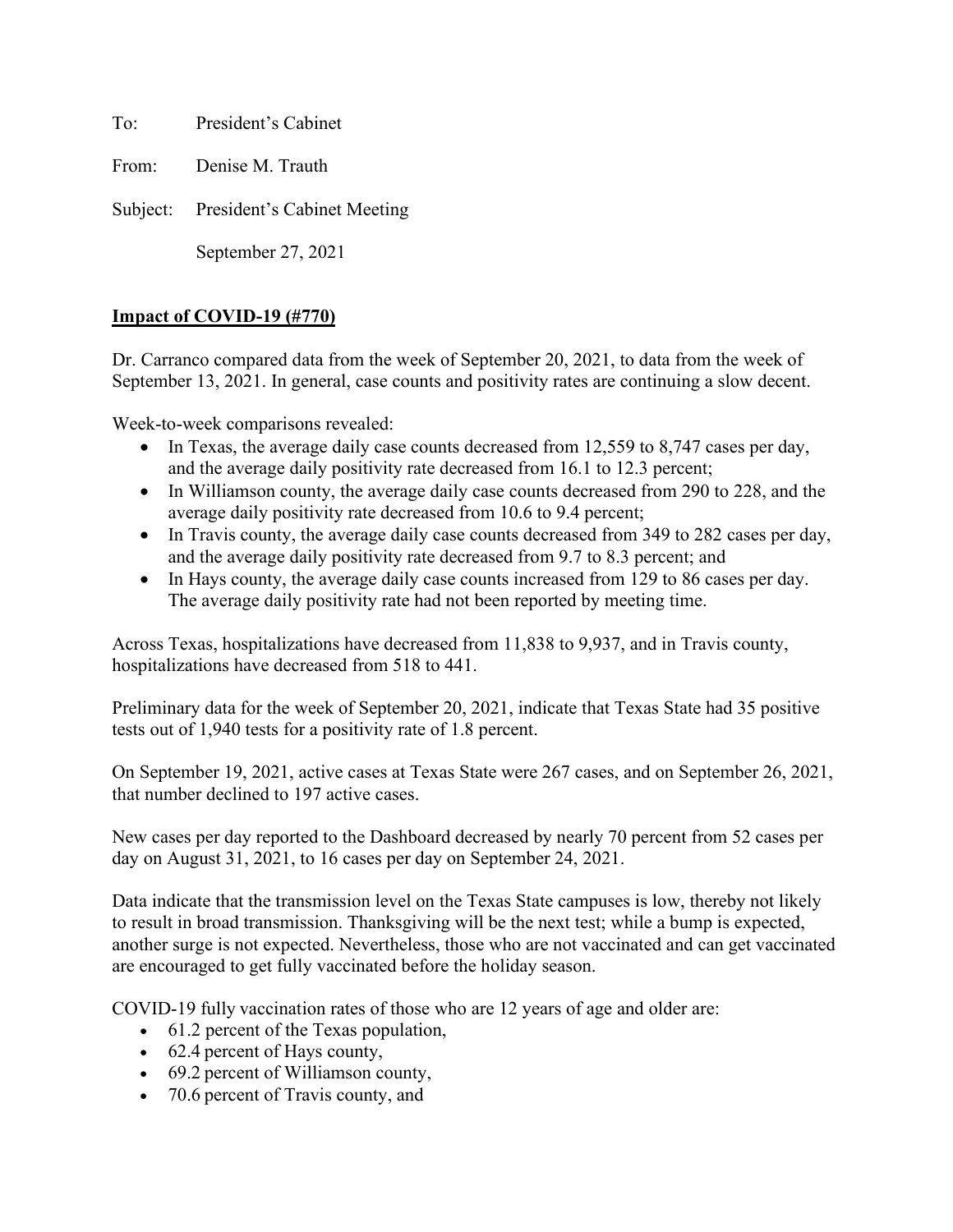To: President's Cabinet

From: Denise M. Trauth

Subject: President's Cabinet Meeting

September 27, 2021

## **Impact of COVID-19 (#770)**

Dr. Carranco compared data from the week of September 20, 2021, to data from the week of September 13, 2021. In general, case counts and positivity rates are continuing a slow decent.

Week-to-week comparisons revealed:

- In Texas, the average daily case counts decreased from 12,559 to 8,747 cases per day, and the average daily positivity rate decreased from 16.1 to 12.3 percent;
- In Williamson county, the average daily case counts decreased from 290 to 228, and the average daily positivity rate decreased from 10.6 to 9.4 percent;
- In Travis county, the average daily case counts decreased from 349 to 282 cases per day, and the average daily positivity rate decreased from 9.7 to 8.3 percent; and
- In Hays county, the average daily case counts increased from 129 to 86 cases per day. The average daily positivity rate had not been reported by meeting time.

Across Texas, hospitalizations have decreased from 11,838 to 9,937, and in Travis county, hospitalizations have decreased from 518 to 441.

Preliminary data for the week of September 20, 2021, indicate that Texas State had 35 positive tests out of 1,940 tests for a positivity rate of 1.8 percent.

On September 19, 2021, active cases at Texas State were 267 cases, and on September 26, 2021, that number declined to 197 active cases.

New cases per day reported to the Dashboard decreased by nearly 70 percent from 52 cases per day on August 31, 2021, to 16 cases per day on September 24, 2021.

Data indicate that the transmission level on the Texas State campuses is low, thereby not likely to result in broad transmission. Thanksgiving will be the next test; while a bump is expected, another surge is not expected. Nevertheless, those who are not vaccinated and can get vaccinated are encouraged to get fully vaccinated before the holiday season.

COVID-19 fully vaccination rates of those who are 12 years of age and older are:  

- 61.2 percent of the Texas population,
- 62.4 percent of Hays county,
- 69.2 percent of Williamson county,
- 70.6 percent of Travis county, and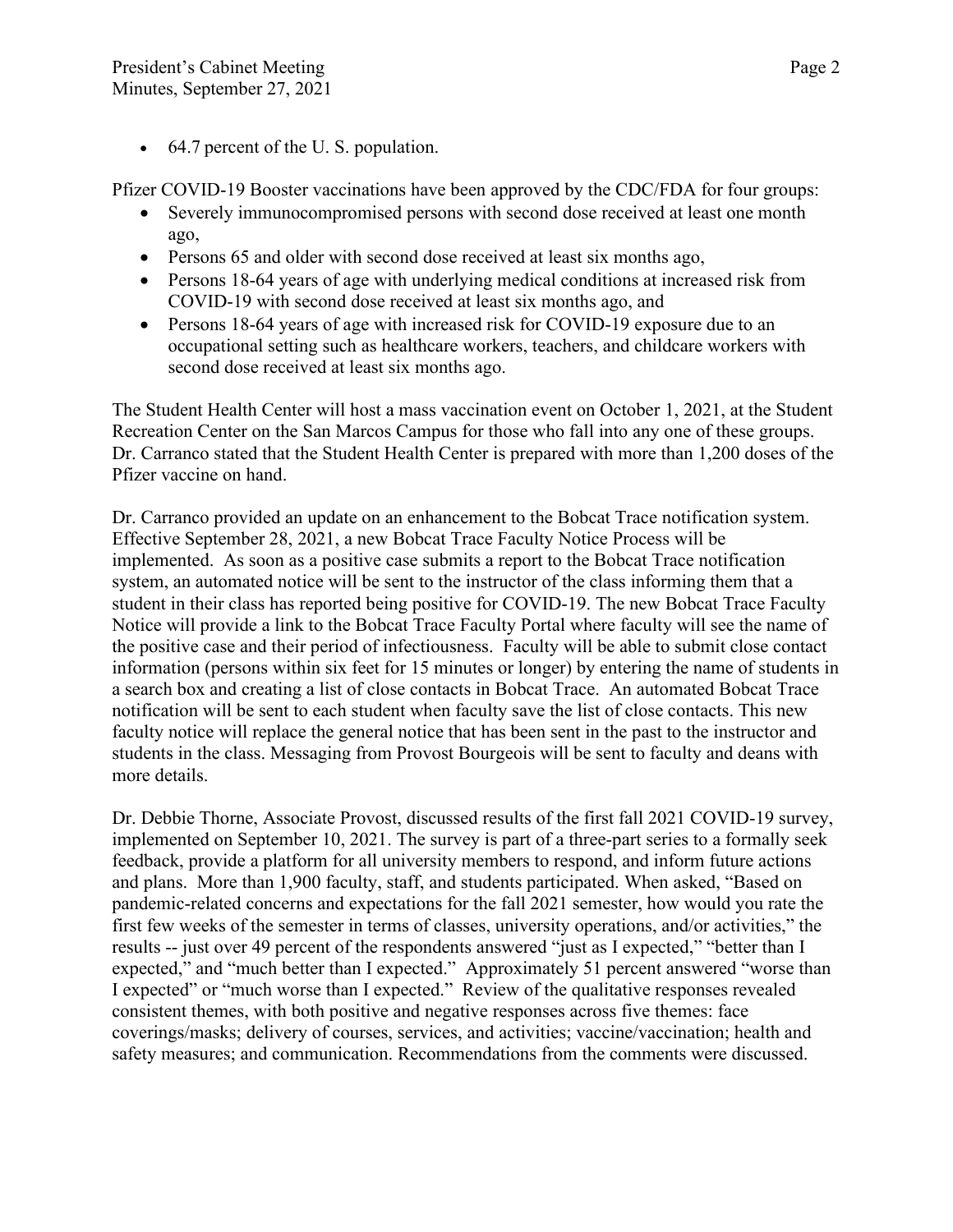• 64.7 percent of the U.S. population.

Pfizer COVID-19 Booster vaccinations have been approved by the CDC/FDA for four groups:

- Severely immunocompromised persons with second dose received at least one month ago,
- Persons 65 and older with second dose received at least six months ago,
- Persons 18-64 years of age with underlying medical conditions at increased risk from COVID-19 with second dose received at least six months ago, and
- Persons 18-64 years of age with increased risk for COVID-19 exposure due to an occupational setting such as healthcare workers, teachers, and childcare workers with second dose received at least six months ago.

The Student Health Center will host a mass vaccination event on October 1, 2021, at the Student Recreation Center on the San Marcos Campus for those who fall into any one of these groups. Dr. Carranco stated that the Student Health Center is prepared with more than 1,200 doses of the Pfizer vaccine on hand.

Dr. Carranco provided an update on an enhancement to the Bobcat Trace notification system. Effective September 28, 2021, a new Bobcat Trace Faculty Notice Process will be implemented. As soon as a positive case submits a report to the Bobcat Trace notification system, an automated notice will be sent to the instructor of the class informing them that a student in their class has reported being positive for COVID-19. The new Bobcat Trace Faculty Notice will provide a link to the Bobcat Trace Faculty Portal where faculty will see the name of the positive case and their period of infectiousness. Faculty will be able to submit close contact information (persons within six feet for 15 minutes or longer) by entering the name of students in a search box and creating a list of close contacts in Bobcat Trace. An automated Bobcat Trace notification will be sent to each student when faculty save the list of close contacts. This new faculty notice will replace the general notice that has been sent in the past to the instructor and students in the class. Messaging from Provost Bourgeois will be sent to faculty and deans with more details.

Dr. Debbie Thorne, Associate Provost, discussed results of the first fall 2021 COVID-19 survey, implemented on September 10, 2021. The survey is part of a three-part series to a formally seek feedback, provide a platform for all university members to respond, and inform future actions and plans. More than 1,900 faculty, staff, and students participated. When asked, "Based on pandemic-related concerns and expectations for the fall 2021 semester, how would you rate the first few weeks of the semester in terms of classes, university operations, and/or activities," the results -- just over 49 percent of the respondents answered "just as I expected," "better than I expected," and "much better than I expected." Approximately 51 percent answered "worse than I expected" or "much worse than I expected." Review of the qualitative responses revealed consistent themes, with both positive and negative responses across five themes: face coverings/masks; delivery of courses, services, and activities; vaccine/vaccination; health and safety measures; and communication. Recommendations from the comments were discussed.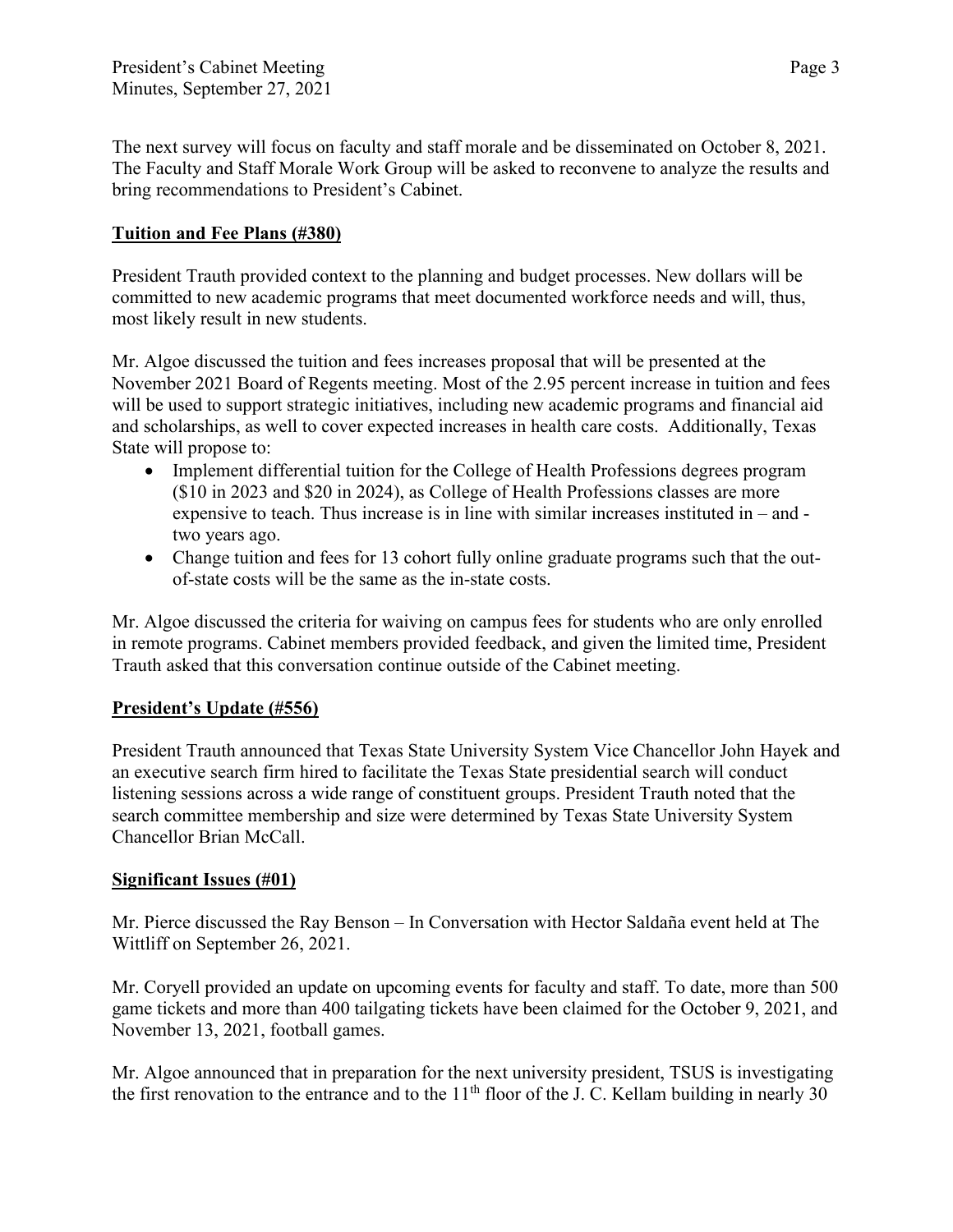The next survey will focus on faculty and staff morale and be disseminated on October 8, 2021. The Faculty and Staff Morale Work Group will be asked to reconvene to analyze the results and bring recommendations to President's Cabinet.

## **Tuition and Fee Plans (#380)**

President Trauth provided context to the planning and budget processes. New dollars will be committed to new academic programs that meet documented workforce needs and will, thus, most likely result in new students.

Mr. Algoe discussed the tuition and fees increases proposal that will be presented at the November 2021 Board of Regents meeting. Most of the 2.95 percent increase in tuition and fees will be used to support strategic initiatives, including new academic programs and financial aid and scholarships, as well to cover expected increases in health care costs. Additionally, Texas State will propose to:

- Implement differential tuition for the College of Health Professions degrees program (\$10 in 2023 and \$20 in 2024), as College of Health Professions classes are more expensive to teach. Thus increase is in line with similar increases instituted in – and two years ago.
- Change tuition and fees for 13 cohort fully online graduate programs such that the outof-state costs will be the same as the in-state costs.

Mr. Algoe discussed the criteria for waiving on campus fees for students who are only enrolled in remote programs. Cabinet members provided feedback, and given the limited time, President Trauth asked that this conversation continue outside of the Cabinet meeting.

## **President's Update (#556)**

President Trauth announced that Texas State University System Vice Chancellor John Hayek and an executive search firm hired to facilitate the Texas State presidential search will conduct listening sessions across a wide range of constituent groups. President Trauth noted that the search committee membership and size were determined by Texas State University System Chancellor Brian McCall.

## **Significant Issues (#01)**

Mr. Pierce discussed the Ray Benson – In Conversation with Hector Saldaña event held at The Wittliff on September 26, 2021.

Mr. Coryell provided an update on upcoming events for faculty and staff. To date, more than 500 game tickets and more than 400 tailgating tickets have been claimed for the October 9, 2021, and November 13, 2021, football games.

Mr. Algoe announced that in preparation for the next university president, TSUS is investigating the first renovation to the entrance and to the 11<sup>th</sup> floor of the J. C. Kellam building in nearly 30